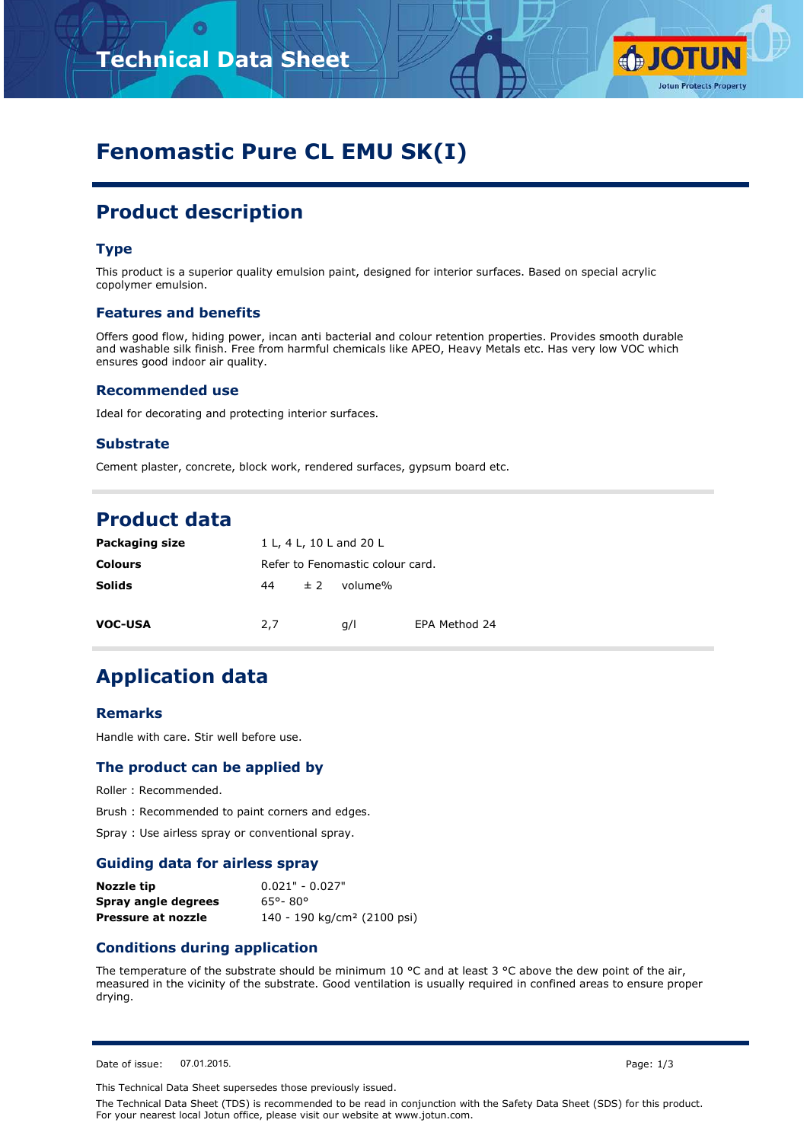

# **Fenomastic Pure CL EMU SK(I)**

# **Product description**

# **Type**

This product is a superior quality emulsion paint, designed for interior surfaces. Based on special acrylic copolymer emulsion.

### **Features and benefits**

Offers good flow, hiding power, incan anti bacterial and colour retention properties. Provides smooth durable and washable silk finish. Free from harmful chemicals like APEO, Heavy Metals etc. Has very low VOC which ensures good indoor air quality.

#### **Recommended use**

Ideal for decorating and protecting interior surfaces.

### **Substrate**

Cement plaster, concrete, block work, rendered surfaces, gypsum board etc.

# **Product data**

| Packaging size | 1 L, 4 L, 10 L and 20 L          |         |         |               |  |
|----------------|----------------------------------|---------|---------|---------------|--|
| <b>Colours</b> | Refer to Fenomastic colour card. |         |         |               |  |
| <b>Solids</b>  | 44                               | $\pm$ 2 | volume% |               |  |
| <b>VOC-USA</b> | 2,7                              |         | q/l     | EPA Method 24 |  |

# **Application data**

#### **Remarks**

Handle with care. Stir well before use.

### **The product can be applied by**

Roller : Recommended.

Brush : Recommended to paint corners and edges.

Spray : Use airless spray or conventional spray.

#### **Guiding data for airless spray**

| Nozzle tip          | $0.021" - 0.027"$                       |
|---------------------|-----------------------------------------|
| Spray angle degrees | 65°-80°                                 |
| Pressure at nozzle  | 140 - 190 kg/cm <sup>2</sup> (2100 psi) |

## **Conditions during application**

The temperature of the substrate should be minimum 10  $^{\circ}$ C and at least 3  $^{\circ}$ C above the dew point of the air, measured in the vicinity of the substrate. Good ventilation is usually required in confined areas to ensure proper drying.

Date of issue: 07.01.2015. Page: 1/3

This Technical Data Sheet supersedes those previously issued.

The Technical Data Sheet (TDS) is recommended to be read in conjunction with the Safety Data Sheet (SDS) for this product. For your nearest local Jotun office, please visit our website at www.jotun.com.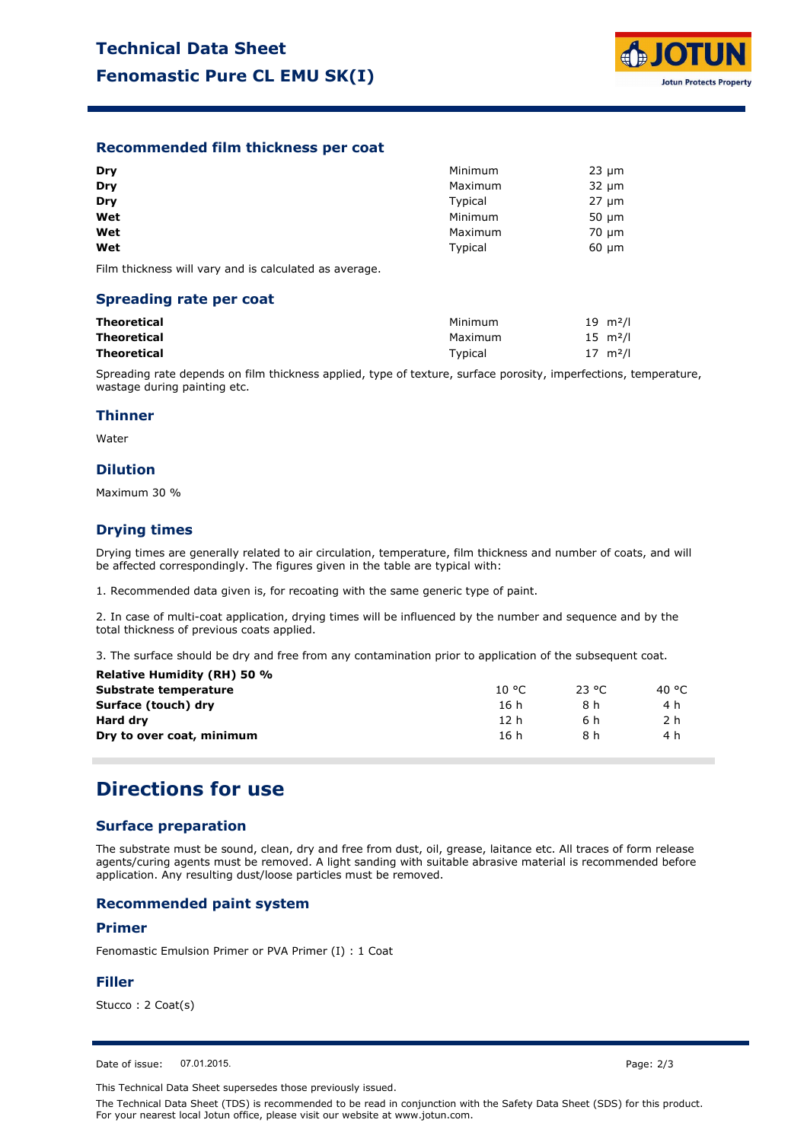

# **Recommended film thickness per coat**

| Dry | Minimum | $23 \mu m$ |
|-----|---------|------------|
| Dry | Maximum | $32 \mu m$ |
| Dry | Typical | $27 \mu m$ |
| Wet | Minimum | $50 \mu m$ |
| Wet | Maximum | $70 \mu m$ |
| Wet | Typical | $60 \mu m$ |

Film thickness will vary and is calculated as average.

#### **Spreading rate per coat**

| Theoretical | Minimum | $19 \, m^2/l$ |
|-------------|---------|---------------|
| Theoretical | Maximum | $15 \, m^2/l$ |
| Theoretical | Typical | $17 \, m^2/l$ |

Spreading rate depends on film thickness applied, type of texture, surface porosity, imperfections, temperature, wastage during painting etc.

### **Thinner**

Water

# **Dilution**

Maximum 30 %

# **Drying times**

Drying times are generally related to air circulation, temperature, film thickness and number of coats, and will be affected correspondingly. The figures given in the table are typical with:

1. Recommended data given is, for recoating with the same generic type of paint.

2. In case of multi-coat application, drying times will be influenced by the number and sequence and by the total thickness of previous coats applied.

3. The surface should be dry and free from any contamination prior to application of the subsequent coat.

| 10 °C | 23 °C. | 40 °C |  |
|-------|--------|-------|--|
| 16 h  | 8 h    | 4 h   |  |
| 12 h  | 6 h    | 2 h   |  |
| 16 h  | 8 h    | 4 h   |  |
|       |        |       |  |

# **Directions for use**

### **Surface preparation**

The substrate must be sound, clean, dry and free from dust, oil, grease, laitance etc. All traces of form release agents/curing agents must be removed. A light sanding with suitable abrasive material is recommended before application. Any resulting dust/loose particles must be removed.

### **Recommended paint system**

### **Primer**

Fenomastic Emulsion Primer or PVA Primer (I) : 1 Coat

#### **Filler**

Stucco : 2 Coat(s)

Date of issue: 07.01.2015.

This Technical Data Sheet supersedes those previously issued.

The Technical Data Sheet (TDS) is recommended to be read in conjunction with the Safety Data Sheet (SDS) for this product. For your nearest local Jotun office, please visit our website at www.jotun.com.

Page: 2/3